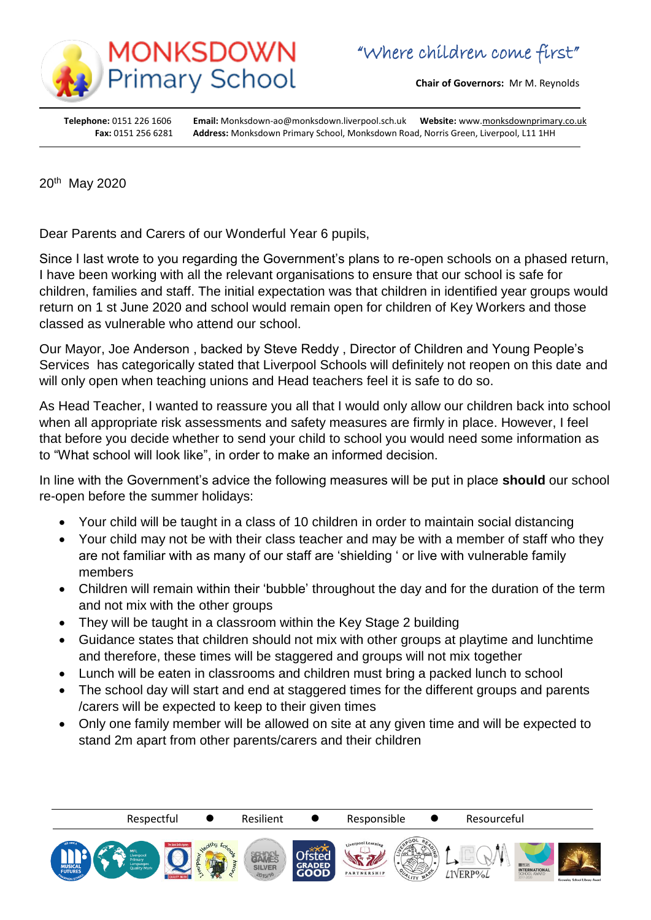

**Chair of Governors:** Mr M. Reynolds

**Headteacher:** Mrs S Gough

**Telephone:** 0151 226 1606 **Email:** Monksdown-ao@monksdown.liverpool.sch.uk **Website:** www[.monksdownprimary.co.uk](http://www.monksdownprimary.co.uk/) **Fax:** 0151 256 6281 **Address:** Monksdown Primary School, Monksdown Road, Norris Green, Liverpool, L11 1HH

20th May 2020

i

Dear Parents and Carers of our Wonderful Year 6 pupils,

Since I last wrote to you regarding the Government's plans to re-open schools on a phased return, I have been working with all the relevant organisations to ensure that our school is safe for children, families and staff. The initial expectation was that children in identified year groups would return on 1 st June 2020 and school would remain open for children of Key Workers and those classed as vulnerable who attend our school.

Our Mayor, Joe Anderson , backed by Steve Reddy , Director of Children and Young People's Services has categorically stated that Liverpool Schools will definitely not reopen on this date and will only open when teaching unions and Head teachers feel it is safe to do so.

As Head Teacher, I wanted to reassure you all that I would only allow our children back into school when all appropriate risk assessments and safety measures are firmly in place. However, I feel that before you decide whether to send your child to school you would need some information as to "What school will look like", in order to make an informed decision.

In line with the Government's advice the following measures will be put in place **should** our school re-open before the summer holidays:

- Your child will be taught in a class of 10 children in order to maintain social distancing
- Your child may not be with their class teacher and may be with a member of staff who they are not familiar with as many of our staff are 'shielding ' or live with vulnerable family members
- Children will remain within their 'bubble' throughout the day and for the duration of the term and not mix with the other groups
- They will be taught in a classroom within the Key Stage 2 building
- Guidance states that children should not mix with other groups at playtime and lunchtime and therefore, these times will be staggered and groups will not mix together
- Lunch will be eaten in classrooms and children must bring a packed lunch to school
- The school day will start and end at staggered times for the different groups and parents /carers will be expected to keep to their given times
- Only one family member will be allowed on site at any given time and will be expected to stand 2m apart from other parents/carers and their children